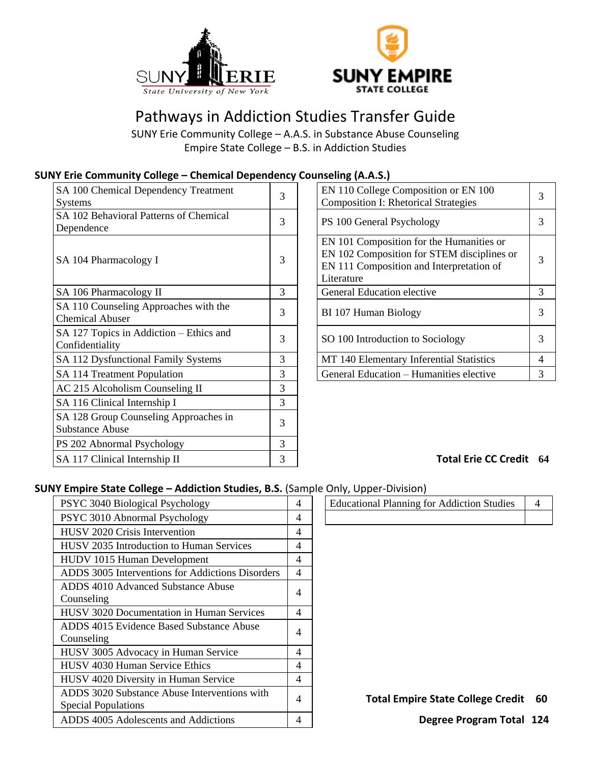



# Pathways in Addiction Studies Transfer Guide

SUNY Erie Community College – A.A.S. in Substance Abuse Counseling Empire State College – B.S. in Addiction Studies

## **SUNY Erie Community College – Chemical Dependency Counseling (A.A.S.)**

| SA 100 Chemical Dependency Treatment<br><b>Systems</b>          | 3 | EN 110 College Composition or EN 100<br><b>Composition I: Rhetorical Strategies</b>                                                              | 3 |
|-----------------------------------------------------------------|---|--------------------------------------------------------------------------------------------------------------------------------------------------|---|
| SA 102 Behavioral Patterns of Chemical<br>Dependence            | 3 | PS 100 General Psychology                                                                                                                        | 3 |
| SA 104 Pharmacology I                                           | 3 | EN 101 Composition for the Humanities or<br>EN 102 Composition for STEM disciplines or<br>EN 111 Composition and Interpretation of<br>Literature | 3 |
| SA 106 Pharmacology II                                          | 3 | General Education elective                                                                                                                       | 3 |
| SA 110 Counseling Approaches with the<br><b>Chemical Abuser</b> | 3 | BI 107 Human Biology                                                                                                                             | 3 |
| SA 127 Topics in Addiction – Ethics and<br>Confidentiality      | 3 | SO 100 Introduction to Sociology                                                                                                                 | 3 |
| SA 112 Dysfunctional Family Systems                             | 3 | MT 140 Elementary Inferential Statistics                                                                                                         | 4 |
| SA 114 Treatment Population                                     | 3 | General Education - Humanities elective                                                                                                          | 3 |
| AC 215 Alcoholism Counseling II                                 | 3 |                                                                                                                                                  |   |
| SA 116 Clinical Internship I                                    | 3 |                                                                                                                                                  |   |
| SA 128 Group Counseling Approaches in<br><b>Substance Abuse</b> | 3 |                                                                                                                                                  |   |
| PS 202 Abnormal Psychology                                      | 3 |                                                                                                                                                  |   |
| SA 117 Clinical Internship II                                   | 3 | Total Erie CC Credit 6                                                                                                                           |   |

| EN 110 College Composition or EN 100<br><b>Composition I: Rhetorical Strategies</b>                                                              | 3 |
|--------------------------------------------------------------------------------------------------------------------------------------------------|---|
| PS 100 General Psychology                                                                                                                        | 3 |
| EN 101 Composition for the Humanities or<br>EN 102 Composition for STEM disciplines or<br>EN 111 Composition and Interpretation of<br>Literature | 3 |
| General Education elective                                                                                                                       | 3 |
| BI 107 Human Biology                                                                                                                             | 3 |
| SO 100 Introduction to Sociology                                                                                                                 | 3 |
| MT 140 Elementary Inferential Statistics                                                                                                         | 4 |
| General Education - Humanities elective                                                                                                          | 3 |
|                                                                                                                                                  |   |

## SA 117 Clinical Internship II 3 **Total Erie CC Credit 64**

### **SUNY Empire State College – Addiction Studies, B.S.** (Sample Only, Upper-Division)

| PSYC 3040 Biological Psychology                  | 4              | <b>Educational Planning for Addiction Studies</b> | 4 |
|--------------------------------------------------|----------------|---------------------------------------------------|---|
| PSYC 3010 Abnormal Psychology                    | 4              |                                                   |   |
| <b>HUSV 2020 Crisis Intervention</b>             | 4              |                                                   |   |
| <b>HUSV</b> 2035 Introduction to Human Services  | $\overline{4}$ |                                                   |   |
| HUDV 1015 Human Development                      | 4              |                                                   |   |
| ADDS 3005 Interventions for Addictions Disorders | $\overline{4}$ |                                                   |   |
| ADDS 4010 Advanced Substance Abuse               | 4              |                                                   |   |
| Counseling                                       |                |                                                   |   |
| <b>HUSV 3020 Documentation in Human Services</b> | 4              |                                                   |   |
| ADDS 4015 Evidence Based Substance Abuse         | 4              |                                                   |   |
| Counseling                                       |                |                                                   |   |
| HUSV 3005 Advocacy in Human Service              | 4              |                                                   |   |
| HUSV 4030 Human Service Ethics                   | 4              |                                                   |   |
| HUSV 4020 Diversity in Human Service             | 4              |                                                   |   |
| ADDS 3020 Substance Abuse Interventions with     | 4              | <b>Total Empire State College Credit</b>          | 6 |
| <b>Special Populations</b>                       |                |                                                   |   |
| ADDS 4005 Adolescents and Addictions             | 4              | Degree Program Total 12                           |   |

| .                                                 |  |
|---------------------------------------------------|--|
| <b>Educational Planning for Addiction Studies</b> |  |
|                                                   |  |

Total Empire State College Credit 60

**Degree Program Total 124**